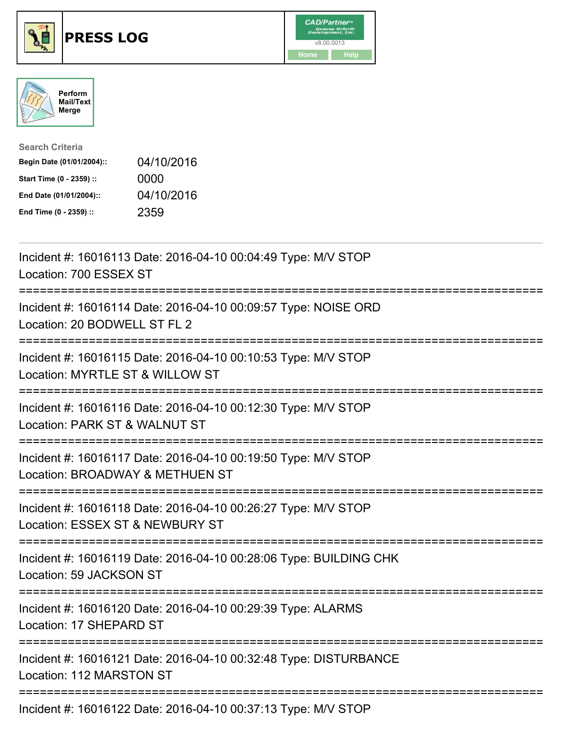





| <b>Search Criteria</b>    |            |
|---------------------------|------------|
| Begin Date (01/01/2004):: | 04/10/2016 |
| Start Time (0 - 2359) ::  | 0000       |
| End Date (01/01/2004)::   | 04/10/2016 |
| End Time (0 - 2359) ::    | 2359       |

| Incident #: 16016113 Date: 2016-04-10 00:04:49 Type: M/V STOP<br>Location: 700 ESSEX ST                                  |
|--------------------------------------------------------------------------------------------------------------------------|
| Incident #: 16016114 Date: 2016-04-10 00:09:57 Type: NOISE ORD<br>Location: 20 BODWELL ST FL 2                           |
| Incident #: 16016115 Date: 2016-04-10 00:10:53 Type: M/V STOP<br>Location: MYRTLE ST & WILLOW ST                         |
| Incident #: 16016116 Date: 2016-04-10 00:12:30 Type: M/V STOP<br>Location: PARK ST & WALNUT ST                           |
| Incident #: 16016117 Date: 2016-04-10 00:19:50 Type: M/V STOP<br>Location: BROADWAY & METHUEN ST<br>-------------------- |
| Incident #: 16016118 Date: 2016-04-10 00:26:27 Type: M/V STOP<br>Location: ESSEX ST & NEWBURY ST                         |
| Incident #: 16016119 Date: 2016-04-10 00:28:06 Type: BUILDING CHK<br>Location: 59 JACKSON ST                             |
| Incident #: 16016120 Date: 2016-04-10 00:29:39 Type: ALARMS<br>Location: 17 SHEPARD ST                                   |
| Incident #: 16016121 Date: 2016-04-10 00:32:48 Type: DISTURBANCE<br>Location: 112 MARSTON ST                             |
| $\frac{1}{2}$                                                                                                            |

Incident #: 16016122 Date: 2016-04-10 00:37:13 Type: M/V STOP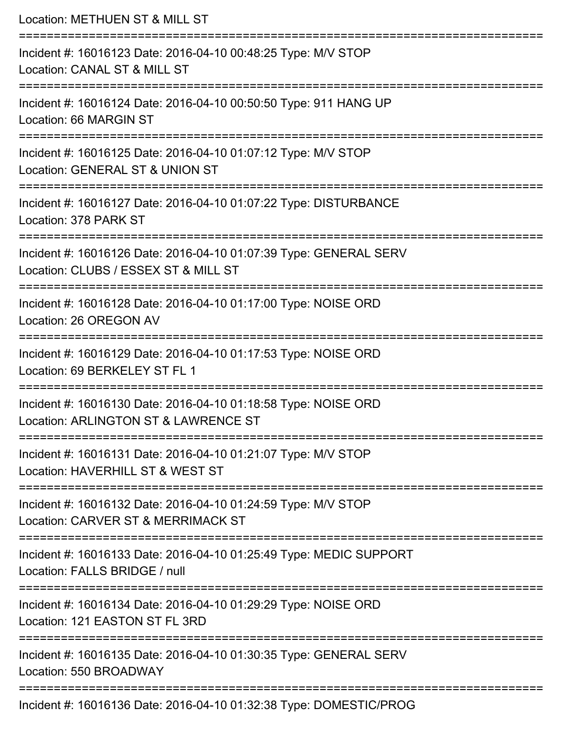| Location: METHUEN ST & MILL ST                                                                                                                    |
|---------------------------------------------------------------------------------------------------------------------------------------------------|
| Incident #: 16016123 Date: 2016-04-10 00:48:25 Type: M/V STOP<br>Location: CANAL ST & MILL ST                                                     |
| Incident #: 16016124 Date: 2016-04-10 00:50:50 Type: 911 HANG UP<br>Location: 66 MARGIN ST                                                        |
| Incident #: 16016125 Date: 2016-04-10 01:07:12 Type: M/V STOP<br>Location: GENERAL ST & UNION ST                                                  |
| Incident #: 16016127 Date: 2016-04-10 01:07:22 Type: DISTURBANCE<br>Location: 378 PARK ST                                                         |
| Incident #: 16016126 Date: 2016-04-10 01:07:39 Type: GENERAL SERV<br>Location: CLUBS / ESSEX ST & MILL ST<br>==================================== |
| Incident #: 16016128 Date: 2016-04-10 01:17:00 Type: NOISE ORD<br>Location: 26 OREGON AV<br>---------------------                                 |
| Incident #: 16016129 Date: 2016-04-10 01:17:53 Type: NOISE ORD<br>Location: 69 BERKELEY ST FL 1                                                   |
| Incident #: 16016130 Date: 2016-04-10 01:18:58 Type: NOISE ORD<br>Location: ARLINGTON ST & LAWRENCE ST<br>==================================      |
| Incident #: 16016131 Date: 2016-04-10 01:21:07 Type: M/V STOP<br>Location: HAVERHILL ST & WEST ST                                                 |
| Incident #: 16016132 Date: 2016-04-10 01:24:59 Type: M/V STOP<br>Location: CARVER ST & MERRIMACK ST                                               |
| Incident #: 16016133 Date: 2016-04-10 01:25:49 Type: MEDIC SUPPORT<br>Location: FALLS BRIDGE / null                                               |
| Incident #: 16016134 Date: 2016-04-10 01:29:29 Type: NOISE ORD<br>Location: 121 EASTON ST FL 3RD                                                  |
| Incident #: 16016135 Date: 2016-04-10 01:30:35 Type: GENERAL SERV<br>Location: 550 BROADWAY                                                       |
| Incident #: 16016136 Date: 2016-04-10 01:32:38 Type: DOMESTIC/PROG                                                                                |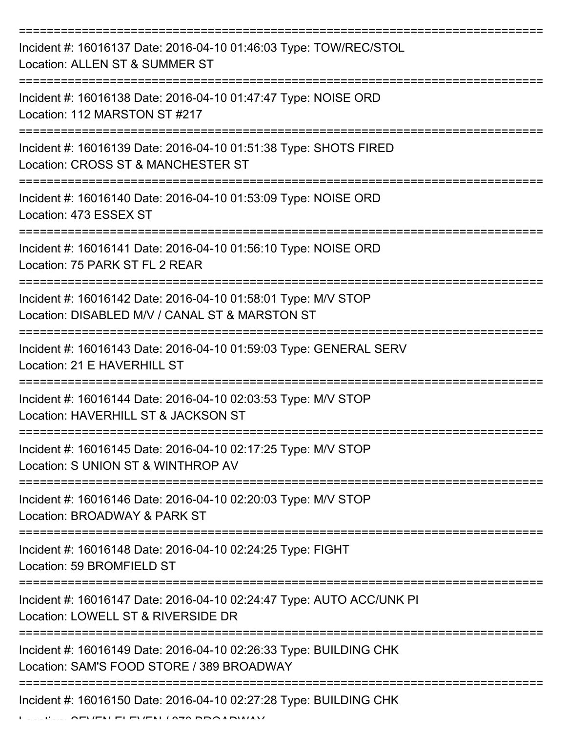| Incident #: 16016137 Date: 2016-04-10 01:46:03 Type: TOW/REC/STOL<br>Location: ALLEN ST & SUMMER ST             |
|-----------------------------------------------------------------------------------------------------------------|
| Incident #: 16016138 Date: 2016-04-10 01:47:47 Type: NOISE ORD<br>Location: 112 MARSTON ST #217                 |
| Incident #: 16016139 Date: 2016-04-10 01:51:38 Type: SHOTS FIRED<br>Location: CROSS ST & MANCHESTER ST          |
| Incident #: 16016140 Date: 2016-04-10 01:53:09 Type: NOISE ORD<br>Location: 473 ESSEX ST                        |
| Incident #: 16016141 Date: 2016-04-10 01:56:10 Type: NOISE ORD<br>Location: 75 PARK ST FL 2 REAR                |
| Incident #: 16016142 Date: 2016-04-10 01:58:01 Type: M/V STOP<br>Location: DISABLED M/V / CANAL ST & MARSTON ST |
| Incident #: 16016143 Date: 2016-04-10 01:59:03 Type: GENERAL SERV<br>Location: 21 E HAVERHILL ST                |
| Incident #: 16016144 Date: 2016-04-10 02:03:53 Type: M/V STOP<br>Location: HAVERHILL ST & JACKSON ST            |
| Incident #: 16016145 Date: 2016-04-10 02:17:25 Type: M/V STOP<br>Location: S UNION ST & WINTHROP AV             |
| Incident #: 16016146 Date: 2016-04-10 02:20:03 Type: M/V STOP<br>Location: BROADWAY & PARK ST                   |
| Incident #: 16016148 Date: 2016-04-10 02:24:25 Type: FIGHT<br>Location: 59 BROMFIELD ST                         |
| Incident #: 16016147 Date: 2016-04-10 02:24:47 Type: AUTO ACC/UNK PI<br>Location: LOWELL ST & RIVERSIDE DR      |
| Incident #: 16016149 Date: 2016-04-10 02:26:33 Type: BUILDING CHK<br>Location: SAM'S FOOD STORE / 389 BROADWAY  |
| ------------------------------<br>Incident #: 16016150 Date: 2016-04-10 02:27:28 Type: BUILDING CHK             |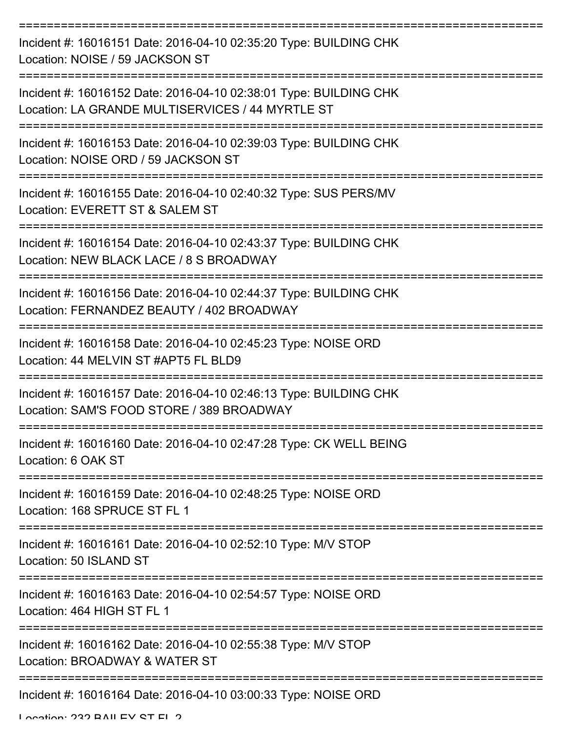| Incident #: 16016151 Date: 2016-04-10 02:35:20 Type: BUILDING CHK<br>Location: NOISE / 59 JACKSON ST                  |
|-----------------------------------------------------------------------------------------------------------------------|
| Incident #: 16016152 Date: 2016-04-10 02:38:01 Type: BUILDING CHK<br>Location: LA GRANDE MULTISERVICES / 44 MYRTLE ST |
| Incident #: 16016153 Date: 2016-04-10 02:39:03 Type: BUILDING CHK<br>Location: NOISE ORD / 59 JACKSON ST              |
| Incident #: 16016155 Date: 2016-04-10 02:40:32 Type: SUS PERS/MV<br>Location: EVERETT ST & SALEM ST                   |
| Incident #: 16016154 Date: 2016-04-10 02:43:37 Type: BUILDING CHK<br>Location: NEW BLACK LACE / 8 S BROADWAY          |
| Incident #: 16016156 Date: 2016-04-10 02:44:37 Type: BUILDING CHK<br>Location: FERNANDEZ BEAUTY / 402 BROADWAY        |
| Incident #: 16016158 Date: 2016-04-10 02:45:23 Type: NOISE ORD<br>Location: 44 MELVIN ST #APT5 FL BLD9                |
| Incident #: 16016157 Date: 2016-04-10 02:46:13 Type: BUILDING CHK<br>Location: SAM'S FOOD STORE / 389 BROADWAY        |
| Incident #: 16016160 Date: 2016-04-10 02:47:28 Type: CK WELL BEING<br>Location: 6 OAK ST                              |
| Incident #: 16016159 Date: 2016-04-10 02:48:25 Type: NOISE ORD<br>Location: 168 SPRUCE ST FL 1                        |
| Incident #: 16016161 Date: 2016-04-10 02:52:10 Type: M/V STOP<br>Location: 50 ISLAND ST                               |
| =====================<br>Incident #: 16016163 Date: 2016-04-10 02:54:57 Type: NOISE ORD<br>Location: 464 HIGH ST FL 1 |
| Incident #: 16016162 Date: 2016-04-10 02:55:38 Type: M/V STOP<br>Location: BROADWAY & WATER ST                        |
| Incident #: 16016164 Date: 2016-04-10 03:00:33 Type: NOISE ORD                                                        |

Location: 222 BAILEV ST EL 2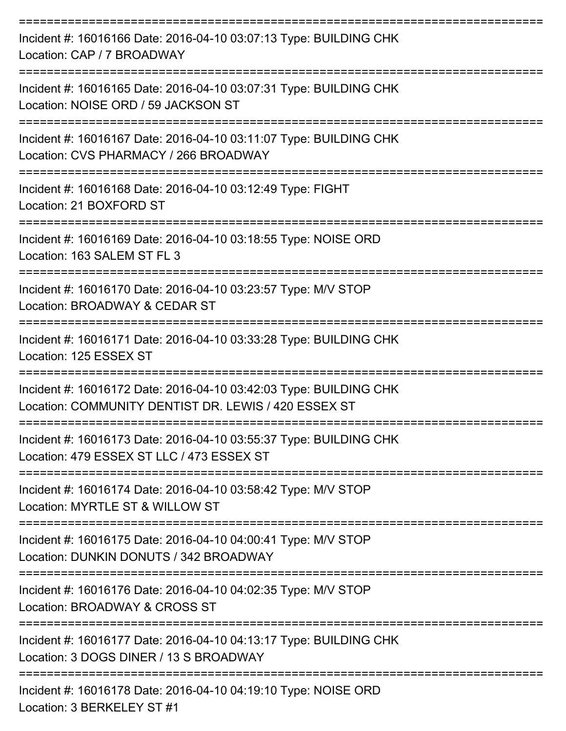| Incident #: 16016166 Date: 2016-04-10 03:07:13 Type: BUILDING CHK<br>Location: CAP / 7 BROADWAY                                |
|--------------------------------------------------------------------------------------------------------------------------------|
| Incident #: 16016165 Date: 2016-04-10 03:07:31 Type: BUILDING CHK<br>Location: NOISE ORD / 59 JACKSON ST                       |
| Incident #: 16016167 Date: 2016-04-10 03:11:07 Type: BUILDING CHK<br>Location: CVS PHARMACY / 266 BROADWAY                     |
| Incident #: 16016168 Date: 2016-04-10 03:12:49 Type: FIGHT<br>Location: 21 BOXFORD ST                                          |
| Incident #: 16016169 Date: 2016-04-10 03:18:55 Type: NOISE ORD<br>Location: 163 SALEM ST FL 3<br>---------                     |
| Incident #: 16016170 Date: 2016-04-10 03:23:57 Type: M/V STOP<br>Location: BROADWAY & CEDAR ST<br>============================ |
| Incident #: 16016171 Date: 2016-04-10 03:33:28 Type: BUILDING CHK<br>Location: 125 ESSEX ST                                    |
| Incident #: 16016172 Date: 2016-04-10 03:42:03 Type: BUILDING CHK<br>Location: COMMUNITY DENTIST DR. LEWIS / 420 ESSEX ST      |
| Incident #: 16016173 Date: 2016-04-10 03:55:37 Type: BUILDING CHK<br>Location: 479 ESSEX ST LLC / 473 ESSEX ST                 |
| Incident #: 16016174 Date: 2016-04-10 03:58:42 Type: M/V STOP<br>Location: MYRTLE ST & WILLOW ST                               |
| Incident #: 16016175 Date: 2016-04-10 04:00:41 Type: M/V STOP<br>Location: DUNKIN DONUTS / 342 BROADWAY                        |
| Incident #: 16016176 Date: 2016-04-10 04:02:35 Type: M/V STOP<br>Location: BROADWAY & CROSS ST                                 |
| Incident #: 16016177 Date: 2016-04-10 04:13:17 Type: BUILDING CHK<br>Location: 3 DOGS DINER / 13 S BROADWAY                    |
| Incident #: 16016178 Date: 2016-04-10 04:19:10 Type: NOISE ORD                                                                 |

Location: 3 BERKELEY ST #1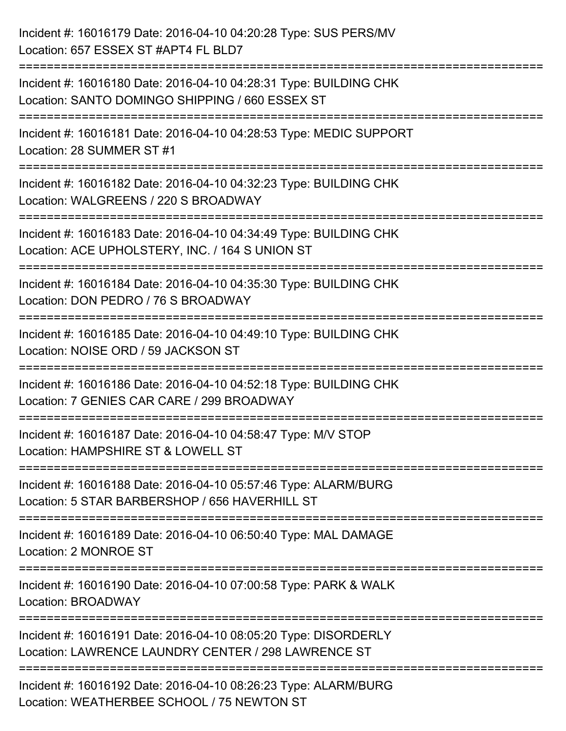| Incident #: 16016179 Date: 2016-04-10 04:20:28 Type: SUS PERS/MV<br>Location: 657 ESSEX ST #APT4 FL BLD7                                                |
|---------------------------------------------------------------------------------------------------------------------------------------------------------|
| ===========================<br>Incident #: 16016180 Date: 2016-04-10 04:28:31 Type: BUILDING CHK<br>Location: SANTO DOMINGO SHIPPING / 660 ESSEX ST     |
| Incident #: 16016181 Date: 2016-04-10 04:28:53 Type: MEDIC SUPPORT<br>Location: 28 SUMMER ST #1                                                         |
| Incident #: 16016182 Date: 2016-04-10 04:32:23 Type: BUILDING CHK<br>Location: WALGREENS / 220 S BROADWAY                                               |
| Incident #: 16016183 Date: 2016-04-10 04:34:49 Type: BUILDING CHK<br>Location: ACE UPHOLSTERY, INC. / 164 S UNION ST<br>.------------------------------ |
| Incident #: 16016184 Date: 2016-04-10 04:35:30 Type: BUILDING CHK<br>Location: DON PEDRO / 76 S BROADWAY                                                |
| Incident #: 16016185 Date: 2016-04-10 04:49:10 Type: BUILDING CHK<br>Location: NOISE ORD / 59 JACKSON ST                                                |
| Incident #: 16016186 Date: 2016-04-10 04:52:18 Type: BUILDING CHK<br>Location: 7 GENIES CAR CARE / 299 BROADWAY                                         |
| Incident #: 16016187 Date: 2016-04-10 04:58:47 Type: M/V STOP<br>Location: HAMPSHIRE ST & LOWELL ST                                                     |
| Incident #: 16016188 Date: 2016-04-10 05:57:46 Type: ALARM/BURG<br>Location: 5 STAR BARBERSHOP / 656 HAVERHILL ST                                       |
| Incident #: 16016189 Date: 2016-04-10 06:50:40 Type: MAL DAMAGE<br>Location: 2 MONROE ST                                                                |
| Incident #: 16016190 Date: 2016-04-10 07:00:58 Type: PARK & WALK<br>Location: BROADWAY                                                                  |
| Incident #: 16016191 Date: 2016-04-10 08:05:20 Type: DISORDERLY<br>Location: LAWRENCE LAUNDRY CENTER / 298 LAWRENCE ST                                  |
| Incident #: 16016192 Date: 2016-04-10 08:26:23 Type: ALARM/BURG<br>Location: WEATHERBEE SCHOOL / 75 NEWTON ST                                           |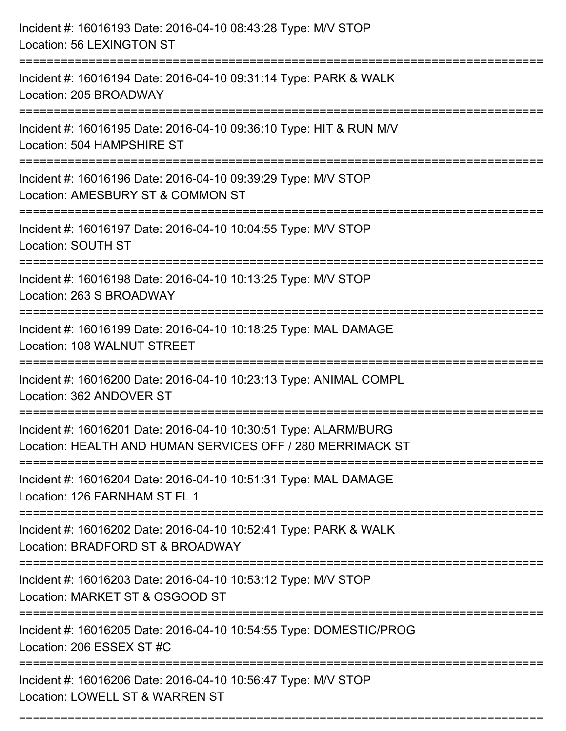| Incident #: 16016193 Date: 2016-04-10 08:43:28 Type: M/V STOP<br>Location: 56 LEXINGTON ST                                         |
|------------------------------------------------------------------------------------------------------------------------------------|
| Incident #: 16016194 Date: 2016-04-10 09:31:14 Type: PARK & WALK<br>Location: 205 BROADWAY                                         |
| Incident #: 16016195 Date: 2016-04-10 09:36:10 Type: HIT & RUN M/V<br>Location: 504 HAMPSHIRE ST                                   |
| Incident #: 16016196 Date: 2016-04-10 09:39:29 Type: M/V STOP<br>Location: AMESBURY ST & COMMON ST                                 |
| Incident #: 16016197 Date: 2016-04-10 10:04:55 Type: M/V STOP<br>Location: SOUTH ST                                                |
| Incident #: 16016198 Date: 2016-04-10 10:13:25 Type: M/V STOP<br>Location: 263 S BROADWAY                                          |
| Incident #: 16016199 Date: 2016-04-10 10:18:25 Type: MAL DAMAGE<br>Location: 108 WALNUT STREET<br>============                     |
| Incident #: 16016200 Date: 2016-04-10 10:23:13 Type: ANIMAL COMPL<br>Location: 362 ANDOVER ST                                      |
| Incident #: 16016201 Date: 2016-04-10 10:30:51 Type: ALARM/BURG<br>Location: HEALTH AND HUMAN SERVICES OFF / 280 MERRIMACK ST      |
| Incident #: 16016204 Date: 2016-04-10 10:51:31 Type: MAL DAMAGE<br>Location: 126 FARNHAM ST FL 1<br>------------------------------ |
| Incident #: 16016202 Date: 2016-04-10 10:52:41 Type: PARK & WALK<br>Location: BRADFORD ST & BROADWAY                               |
| Incident #: 16016203 Date: 2016-04-10 10:53:12 Type: M/V STOP<br>Location: MARKET ST & OSGOOD ST                                   |
| Incident #: 16016205 Date: 2016-04-10 10:54:55 Type: DOMESTIC/PROG<br>Location: 206 ESSEX ST #C                                    |
| Incident #: 16016206 Date: 2016-04-10 10:56:47 Type: M/V STOP<br>Location: LOWELL ST & WARREN ST                                   |

===========================================================================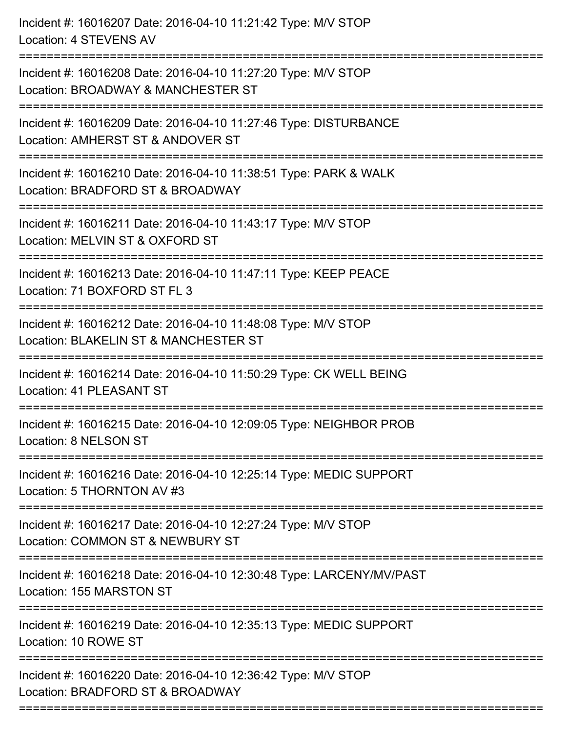| Incident #: 16016207 Date: 2016-04-10 11:21:42 Type: M/V STOP<br>Location: 4 STEVENS AV                                                    |
|--------------------------------------------------------------------------------------------------------------------------------------------|
| Incident #: 16016208 Date: 2016-04-10 11:27:20 Type: M/V STOP<br>Location: BROADWAY & MANCHESTER ST                                        |
| Incident #: 16016209 Date: 2016-04-10 11:27:46 Type: DISTURBANCE<br>Location: AMHERST ST & ANDOVER ST<br>:================================ |
| Incident #: 16016210 Date: 2016-04-10 11:38:51 Type: PARK & WALK<br>Location: BRADFORD ST & BROADWAY                                       |
| Incident #: 16016211 Date: 2016-04-10 11:43:17 Type: M/V STOP<br>Location: MELVIN ST & OXFORD ST                                           |
| Incident #: 16016213 Date: 2016-04-10 11:47:11 Type: KEEP PEACE<br>Location: 71 BOXFORD ST FL 3                                            |
| Incident #: 16016212 Date: 2016-04-10 11:48:08 Type: M/V STOP<br>Location: BLAKELIN ST & MANCHESTER ST                                     |
| Incident #: 16016214 Date: 2016-04-10 11:50:29 Type: CK WELL BEING<br><b>Location: 41 PLEASANT ST</b>                                      |
| Incident #: 16016215 Date: 2016-04-10 12:09:05 Type: NEIGHBOR PROB<br>Location: 8 NELSON ST                                                |
| Incident #: 16016216 Date: 2016-04-10 12:25:14 Type: MEDIC SUPPORT<br>Location: 5 THORNTON AV #3                                           |
| -------------------------------------<br>Incident #: 16016217 Date: 2016-04-10 12:27:24 Type: M/V STOP<br>Location: COMMON ST & NEWBURY ST |
| Incident #: 16016218 Date: 2016-04-10 12:30:48 Type: LARCENY/MV/PAST<br>Location: 155 MARSTON ST                                           |
| Incident #: 16016219 Date: 2016-04-10 12:35:13 Type: MEDIC SUPPORT<br>Location: 10 ROWE ST                                                 |
| Incident #: 16016220 Date: 2016-04-10 12:36:42 Type: M/V STOP<br>Location: BRADFORD ST & BROADWAY                                          |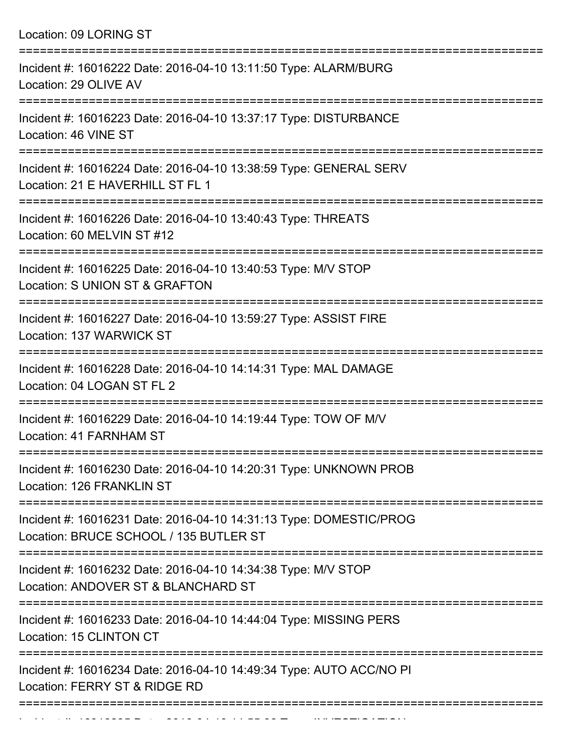Location: 09 LORING ST =========================================================================== Incident #: 16016222 Date: 2016-04-10 13:11:50 Type: ALARM/BURG Location: 29 OLIVE AV =========================================================================== Incident #: 16016223 Date: 2016-04-10 13:37:17 Type: DISTURBANCE Location: 46 VINE ST =========================================================================== Incident #: 16016224 Date: 2016-04-10 13:38:59 Type: GENERAL SERV Location: 21 F HAVERHILL ST FL 1 =========================================================================== Incident #: 16016226 Date: 2016-04-10 13:40:43 Type: THREATS Location: 60 MELVIN ST #12 =========================================================================== Incident #: 16016225 Date: 2016-04-10 13:40:53 Type: M/V STOP Location: S UNION ST & GRAFTON =========================================================================== Incident #: 16016227 Date: 2016-04-10 13:59:27 Type: ASSIST FIRE Location: 137 WARWICK ST =========================================================================== Incident #: 16016228 Date: 2016-04-10 14:14:31 Type: MAL DAMAGE Location: 04 LOGAN ST FL 2 =========================================================================== Incident #: 16016229 Date: 2016-04-10 14:19:44 Type: TOW OF M/V Location: 41 FARNHAM ST =========================================================================== Incident #: 16016230 Date: 2016-04-10 14:20:31 Type: UNKNOWN PROB Location: 126 FRANKLIN ST =========================================================================== Incident #: 16016231 Date: 2016-04-10 14:31:13 Type: DOMESTIC/PROG Location: BRUCE SCHOOL / 135 BUTLER ST =========================================================================== Incident #: 16016232 Date: 2016-04-10 14:34:38 Type: M/V STOP Location: ANDOVER ST & BLANCHARD ST =========================================================================== Incident #: 16016233 Date: 2016-04-10 14:44:04 Type: MISSING PERS Location: 15 CLINTON CT =========================================================================== Incident #: 16016234 Date: 2016-04-10 14:49:34 Type: AUTO ACC/NO PI Location: FERRY ST & RIDGE RD ===========================================================================

Incident #: 16016235 Date: 2016 04 10 11 22:55:38 Type: INVESTIGATION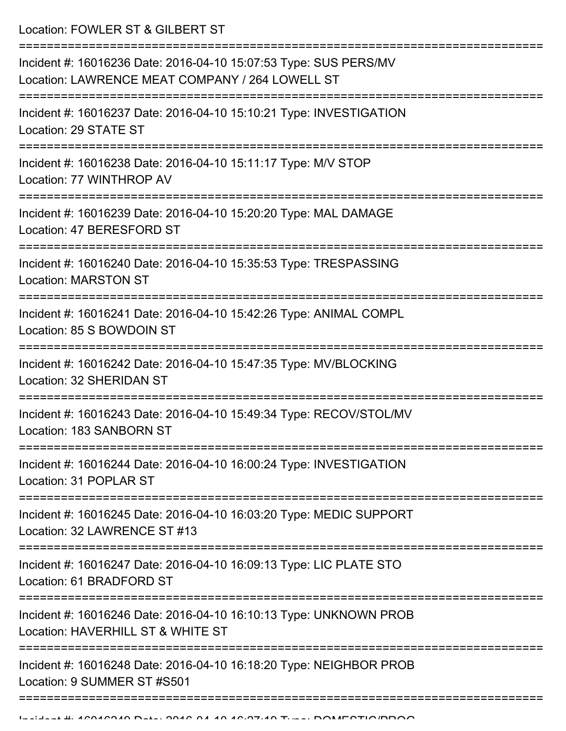Location: FOWLER ST & GILBERT ST

| Incident #: 16016236 Date: 2016-04-10 15:07:53 Type: SUS PERS/MV<br>Location: LAWRENCE MEAT COMPANY / 264 LOWELL ST |
|---------------------------------------------------------------------------------------------------------------------|
| Incident #: 16016237 Date: 2016-04-10 15:10:21 Type: INVESTIGATION<br>Location: 29 STATE ST                         |
| Incident #: 16016238 Date: 2016-04-10 15:11:17 Type: M/V STOP<br>Location: 77 WINTHROP AV                           |
| Incident #: 16016239 Date: 2016-04-10 15:20:20 Type: MAL DAMAGE<br>Location: 47 BERESFORD ST                        |
| Incident #: 16016240 Date: 2016-04-10 15:35:53 Type: TRESPASSING<br><b>Location: MARSTON ST</b>                     |
| Incident #: 16016241 Date: 2016-04-10 15:42:26 Type: ANIMAL COMPL<br>Location: 85 S BOWDOIN ST                      |
| Incident #: 16016242 Date: 2016-04-10 15:47:35 Type: MV/BLOCKING<br>Location: 32 SHERIDAN ST                        |
| Incident #: 16016243 Date: 2016-04-10 15:49:34 Type: RECOV/STOL/MV<br>Location: 183 SANBORN ST                      |
| Incident #: 16016244 Date: 2016-04-10 16:00:24 Type: INVESTIGATION<br>Location: 31 POPLAR ST                        |
| Incident #: 16016245 Date: 2016-04-10 16:03:20 Type: MEDIC SUPPORT<br>Location: 32 LAWRENCE ST #13                  |
| Incident #: 16016247 Date: 2016-04-10 16:09:13 Type: LIC PLATE STO<br>Location: 61 BRADFORD ST                      |
| Incident #: 16016246 Date: 2016-04-10 16:10:13 Type: UNKNOWN PROB<br>Location: HAVERHILL ST & WHITE ST              |
| Incident #: 16016248 Date: 2016-04-10 16:18:20 Type: NEIGHBOR PROB<br>Location: 9 SUMMER ST #S501                   |
|                                                                                                                     |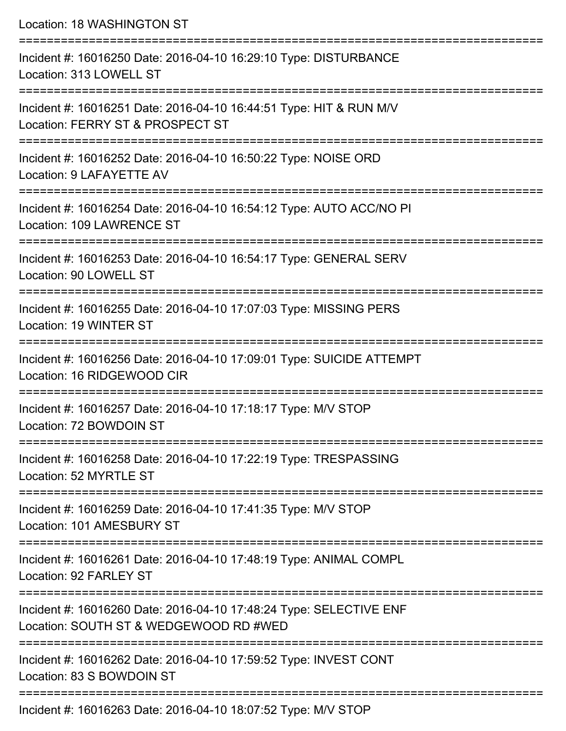| Location: 18 WASHINGTON ST                                                                                   |
|--------------------------------------------------------------------------------------------------------------|
| Incident #: 16016250 Date: 2016-04-10 16:29:10 Type: DISTURBANCE<br>Location: 313 LOWELL ST                  |
| Incident #: 16016251 Date: 2016-04-10 16:44:51 Type: HIT & RUN M/V<br>Location: FERRY ST & PROSPECT ST       |
| Incident #: 16016252 Date: 2016-04-10 16:50:22 Type: NOISE ORD<br>Location: 9 LAFAYETTE AV                   |
| Incident #: 16016254 Date: 2016-04-10 16:54:12 Type: AUTO ACC/NO PI<br>Location: 109 LAWRENCE ST             |
| Incident #: 16016253 Date: 2016-04-10 16:54:17 Type: GENERAL SERV<br>Location: 90 LOWELL ST                  |
| Incident #: 16016255 Date: 2016-04-10 17:07:03 Type: MISSING PERS<br>Location: 19 WINTER ST                  |
| Incident #: 16016256 Date: 2016-04-10 17:09:01 Type: SUICIDE ATTEMPT<br>Location: 16 RIDGEWOOD CIR           |
| Incident #: 16016257 Date: 2016-04-10 17:18:17 Type: M/V STOP<br>Location: 72 BOWDOIN ST                     |
| Incident #: 16016258 Date: 2016-04-10 17:22:19 Type: TRESPASSING<br>Location: 52 MYRTLE ST                   |
| Incident #: 16016259 Date: 2016-04-10 17:41:35 Type: M/V STOP<br>Location: 101 AMESBURY ST                   |
| Incident #: 16016261 Date: 2016-04-10 17:48:19 Type: ANIMAL COMPL<br>Location: 92 FARLEY ST                  |
| Incident #: 16016260 Date: 2016-04-10 17:48:24 Type: SELECTIVE ENF<br>Location: SOUTH ST & WEDGEWOOD RD #WED |
| Incident #: 16016262 Date: 2016-04-10 17:59:52 Type: INVEST CONT<br>Location: 83 S BOWDOIN ST                |

Incident #: 16016263 Date: 2016-04-10 18:07:52 Type: M/V STOP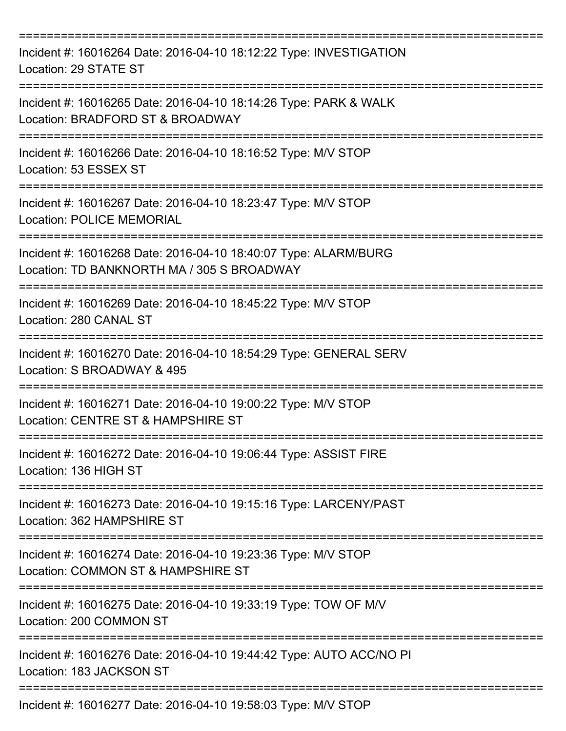| Incident #: 16016264 Date: 2016-04-10 18:12:22 Type: INVESTIGATION<br>Location: 29 STATE ST<br>-------------- |
|---------------------------------------------------------------------------------------------------------------|
| Incident #: 16016265 Date: 2016-04-10 18:14:26 Type: PARK & WALK<br>Location: BRADFORD ST & BROADWAY          |
| Incident #: 16016266 Date: 2016-04-10 18:16:52 Type: M/V STOP<br>Location: 53 ESSEX ST                        |
| Incident #: 16016267 Date: 2016-04-10 18:23:47 Type: M/V STOP<br><b>Location: POLICE MEMORIAL</b>             |
| Incident #: 16016268 Date: 2016-04-10 18:40:07 Type: ALARM/BURG<br>Location: TD BANKNORTH MA / 305 S BROADWAY |
| Incident #: 16016269 Date: 2016-04-10 18:45:22 Type: M/V STOP<br>Location: 280 CANAL ST                       |
| Incident #: 16016270 Date: 2016-04-10 18:54:29 Type: GENERAL SERV<br>Location: S BROADWAY & 495               |
| Incident #: 16016271 Date: 2016-04-10 19:00:22 Type: M/V STOP<br>Location: CENTRE ST & HAMPSHIRE ST           |
| Incident #: 16016272 Date: 2016-04-10 19:06:44 Type: ASSIST FIRE<br>Location: 136 HIGH ST                     |
| Incident #: 16016273 Date: 2016-04-10 19:15:16 Type: LARCENY/PAST<br>Location: 362 HAMPSHIRE ST               |
| Incident #: 16016274 Date: 2016-04-10 19:23:36 Type: M/V STOP<br>Location: COMMON ST & HAMPSHIRE ST           |
| Incident #: 16016275 Date: 2016-04-10 19:33:19 Type: TOW OF M/V<br>Location: 200 COMMON ST                    |
| Incident #: 16016276 Date: 2016-04-10 19:44:42 Type: AUTO ACC/NO PI<br>Location: 183 JACKSON ST               |
| Incident #: 16016277 Date: 2016-04-10 19:58:03 Type: M/V STOP                                                 |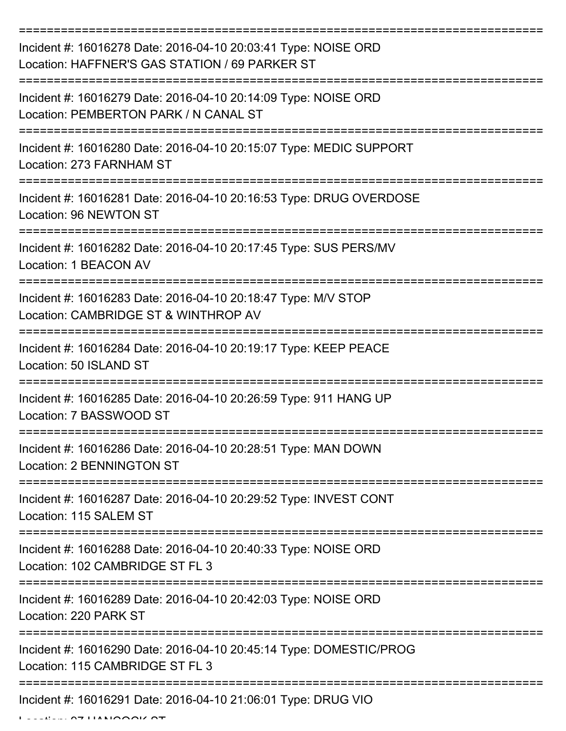| Incident #: 16016278 Date: 2016-04-10 20:03:41 Type: NOISE ORD<br>Location: HAFFNER'S GAS STATION / 69 PARKER ST |
|------------------------------------------------------------------------------------------------------------------|
| Incident #: 16016279 Date: 2016-04-10 20:14:09 Type: NOISE ORD<br>Location: PEMBERTON PARK / N CANAL ST          |
| Incident #: 16016280 Date: 2016-04-10 20:15:07 Type: MEDIC SUPPORT<br>Location: 273 FARNHAM ST                   |
| Incident #: 16016281 Date: 2016-04-10 20:16:53 Type: DRUG OVERDOSE<br>Location: 96 NEWTON ST                     |
| Incident #: 16016282 Date: 2016-04-10 20:17:45 Type: SUS PERS/MV<br>Location: 1 BEACON AV                        |
| Incident #: 16016283 Date: 2016-04-10 20:18:47 Type: M/V STOP<br>Location: CAMBRIDGE ST & WINTHROP AV            |
| Incident #: 16016284 Date: 2016-04-10 20:19:17 Type: KEEP PEACE<br>Location: 50 ISLAND ST                        |
| Incident #: 16016285 Date: 2016-04-10 20:26:59 Type: 911 HANG UP<br>Location: 7 BASSWOOD ST                      |
| Incident #: 16016286 Date: 2016-04-10 20:28:51 Type: MAN DOWN<br>Location: 2 BENNINGTON ST                       |
| Incident #: 16016287 Date: 2016-04-10 20:29:52 Type: INVEST CONT<br>Location: 115 SALEM ST                       |
| Incident #: 16016288 Date: 2016-04-10 20:40:33 Type: NOISE ORD<br>Location: 102 CAMBRIDGE ST FL 3                |
| Incident #: 16016289 Date: 2016-04-10 20:42:03 Type: NOISE ORD<br>Location: 220 PARK ST                          |
| Incident #: 16016290 Date: 2016-04-10 20:45:14 Type: DOMESTIC/PROG<br>Location: 115 CAMBRIDGE ST FL 3            |
| Incident #: 16016291 Date: 2016-04-10 21:06:01 Type: DRUG VIO                                                    |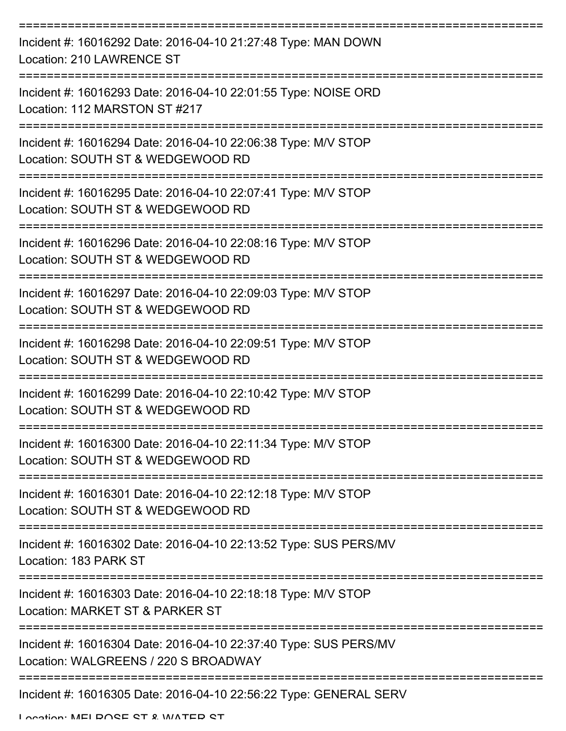| Incident #: 16016292 Date: 2016-04-10 21:27:48 Type: MAN DOWN<br><b>Location: 210 LAWRENCE ST</b>        |
|----------------------------------------------------------------------------------------------------------|
| Incident #: 16016293 Date: 2016-04-10 22:01:55 Type: NOISE ORD<br>Location: 112 MARSTON ST #217          |
| Incident #: 16016294 Date: 2016-04-10 22:06:38 Type: M/V STOP<br>Location: SOUTH ST & WEDGEWOOD RD       |
| Incident #: 16016295 Date: 2016-04-10 22:07:41 Type: M/V STOP<br>Location: SOUTH ST & WEDGEWOOD RD       |
| Incident #: 16016296 Date: 2016-04-10 22:08:16 Type: M/V STOP<br>Location: SOUTH ST & WEDGEWOOD RD       |
| Incident #: 16016297 Date: 2016-04-10 22:09:03 Type: M/V STOP<br>Location: SOUTH ST & WEDGEWOOD RD       |
| Incident #: 16016298 Date: 2016-04-10 22:09:51 Type: M/V STOP<br>Location: SOUTH ST & WEDGEWOOD RD       |
| Incident #: 16016299 Date: 2016-04-10 22:10:42 Type: M/V STOP<br>Location: SOUTH ST & WEDGEWOOD RD       |
| Incident #: 16016300 Date: 2016-04-10 22:11:34 Type: M/V STOP<br>Location: SOUTH ST & WEDGEWOOD RD       |
| Incident #: 16016301 Date: 2016-04-10 22:12:18 Type: M/V STOP<br>Location: SOUTH ST & WEDGEWOOD RD       |
| Incident #: 16016302 Date: 2016-04-10 22:13:52 Type: SUS PERS/MV<br>Location: 183 PARK ST                |
| Incident #: 16016303 Date: 2016-04-10 22:18:18 Type: M/V STOP<br>Location: MARKET ST & PARKER ST         |
| Incident #: 16016304 Date: 2016-04-10 22:37:40 Type: SUS PERS/MV<br>Location: WALGREENS / 220 S BROADWAY |
| Incident #: 16016305 Date: 2016-04-10 22:56:22 Type: GENERAL SERV                                        |

Location: MELDOSE ST & WATER ST